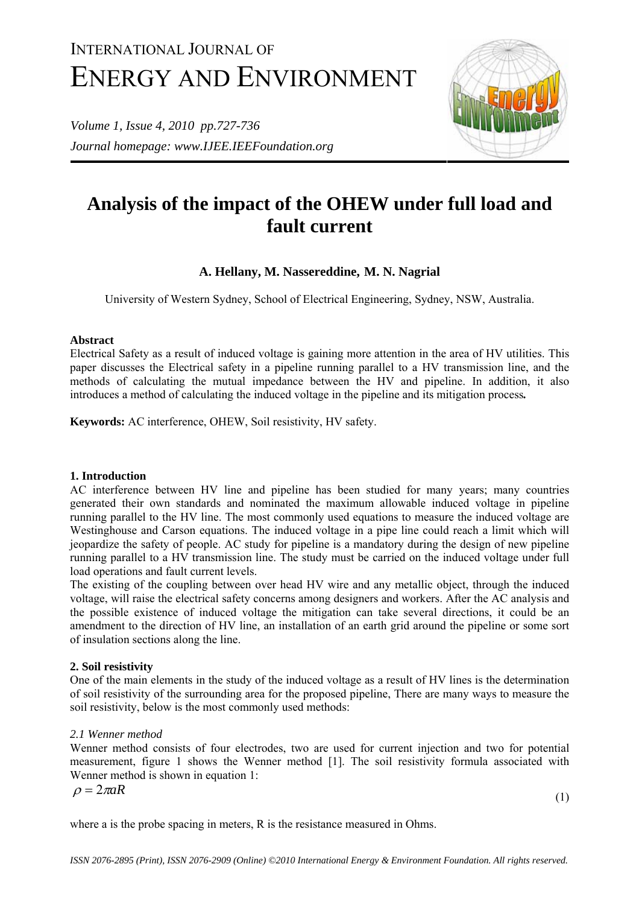# INTERNATIONAL JOURNAL OF ENERGY AND ENVIRONMENT

*Volume 1, Issue 4, 2010 pp.727-736 Journal homepage: www.IJEE.IEEFoundation.org* 



## **Analysis of the impact of the OHEW under full load and fault current**

## **A. Hellany, M. Nassereddine, M. N. Nagrial**

University of Western Sydney, School of Electrical Engineering, Sydney, NSW, Australia.

## **Abstract**

Electrical Safety as a result of induced voltage is gaining more attention in the area of HV utilities. This paper discusses the Electrical safety in a pipeline running parallel to a HV transmission line, and the methods of calculating the mutual impedance between the HV and pipeline. In addition, it also introduces a method of calculating the induced voltage in the pipeline and its mitigation process*.*

**Keywords:** AC interference, OHEW, Soil resistivity, HV safety.

## **1. Introduction**

AC interference between HV line and pipeline has been studied for many years; many countries generated their own standards and nominated the maximum allowable induced voltage in pipeline running parallel to the HV line. The most commonly used equations to measure the induced voltage are Westinghouse and Carson equations. The induced voltage in a pipe line could reach a limit which will jeopardize the safety of people. AC study for pipeline is a mandatory during the design of new pipeline running parallel to a HV transmission line. The study must be carried on the induced voltage under full load operations and fault current levels.

The existing of the coupling between over head HV wire and any metallic object, through the induced voltage, will raise the electrical safety concerns among designers and workers. After the AC analysis and the possible existence of induced voltage the mitigation can take several directions, it could be an amendment to the direction of HV line, an installation of an earth grid around the pipeline or some sort of insulation sections along the line.

## **2. Soil resistivity**

One of the main elements in the study of the induced voltage as a result of HV lines is the determination of soil resistivity of the surrounding area for the proposed pipeline, There are many ways to measure the soil resistivity, below is the most commonly used methods:

## *2.1 Wenner method*

Wenner method consists of four electrodes, two are used for current injection and two for potential measurement, figure 1 shows the Wenner method [1]. The soil resistivity formula associated with Wenner method is shown in equation 1:

$$
\rho = 2\pi aR\tag{1}
$$

where a is the probe spacing in meters, R is the resistance measured in Ohms.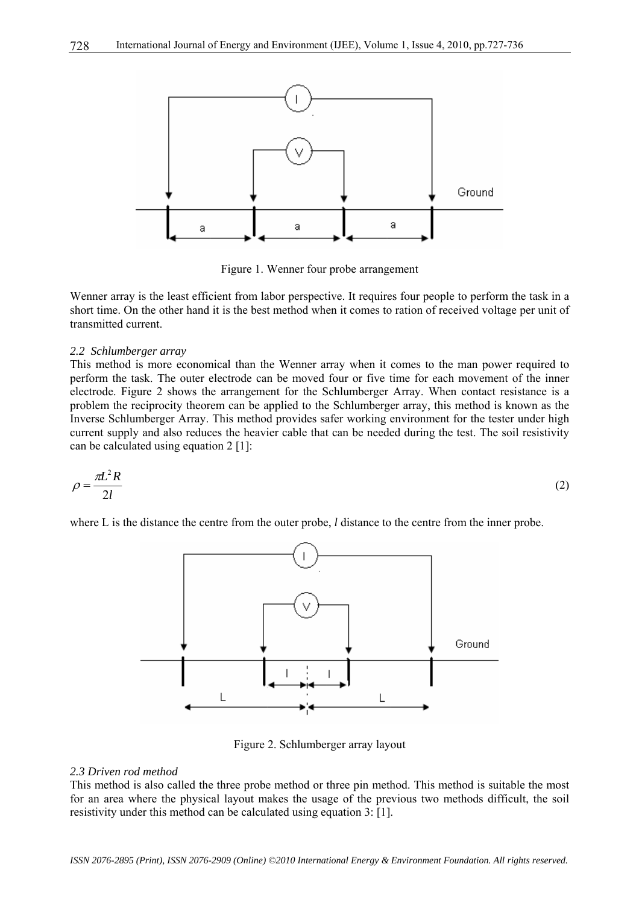

Figure 1. Wenner four probe arrangement

Wenner array is the least efficient from labor perspective. It requires four people to perform the task in a short time. On the other hand it is the best method when it comes to ration of received voltage per unit of transmitted current.

#### *2.2 Schlumberger array*

This method is more economical than the Wenner array when it comes to the man power required to perform the task. The outer electrode can be moved four or five time for each movement of the inner electrode. Figure 2 shows the arrangement for the Schlumberger Array. When contact resistance is a problem the reciprocity theorem can be applied to the Schlumberger array, this method is known as the Inverse Schlumberger Array. This method provides safer working environment for the tester under high current supply and also reduces the heavier cable that can be needed during the test. The soil resistivity can be calculated using equation 2 [1]:

$$
\rho = \frac{\pi L^2 R}{2l} \tag{2}
$$

where L is the distance the centre from the outer probe, *l* distance to the centre from the inner probe.



Figure 2. Schlumberger array layout

#### *2.3 Driven rod method*

This method is also called the three probe method or three pin method. This method is suitable the most for an area where the physical layout makes the usage of the previous two methods difficult, the soil resistivity under this method can be calculated using equation 3: [1].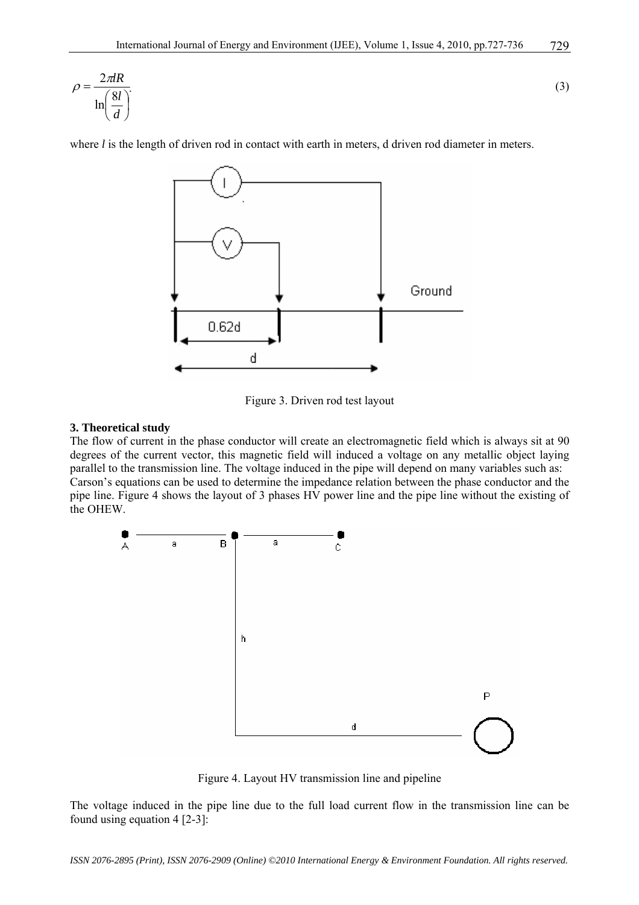$$
\rho = \frac{2\pi lR}{\ln\left(\frac{8l}{d}\right)}.\tag{3}
$$

where *l* is the length of driven rod in contact with earth in meters, d driven rod diameter in meters.



Figure 3. Driven rod test layout

#### **3. Theoretical study**

The flow of current in the phase conductor will create an electromagnetic field which is always sit at 90 degrees of the current vector, this magnetic field will induced a voltage on any metallic object laying parallel to the transmission line. The voltage induced in the pipe will depend on many variables such as: Carson's equations can be used to determine the impedance relation between the phase conductor and the pipe line. Figure 4 shows the layout of 3 phases HV power line and the pipe line without the existing of the OHEW.



Figure 4. Layout HV transmission line and pipeline

The voltage induced in the pipe line due to the full load current flow in the transmission line can be found using equation 4 [2-3]:

*ISSN 2076-2895 (Print), ISSN 2076-2909 (Online) ©2010 International Energy & Environment Foundation. All rights reserved.*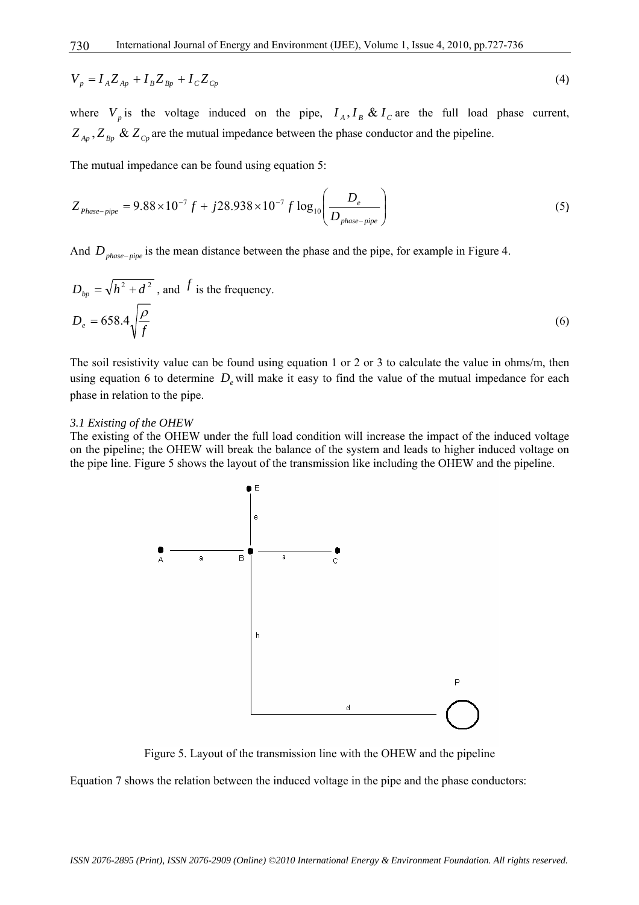$$
V_p = I_A Z_{Ap} + I_B Z_{Bp} + I_C Z_{Cp}
$$
\n(4)

where  $V_p$  is the voltage induced on the pipe,  $I_A$ ,  $I_B$  &  $I_C$  are the full load phase current,  $Z_{A_p}$ ,  $Z_{B_p}$  &  $Z_{C_p}$  are the mutual impedance between the phase conductor and the pipeline.

The mutual impedance can be found using equation 5:

$$
Z_{Phase-pipe} = 9.88 \times 10^{-7} f + j28.938 \times 10^{-7} f \log_{10} \left( \frac{D_e}{D_{phase-pipe}} \right)
$$
 (5)

And *Dphase*<sup>−</sup> *pipe* is the mean distance between the phase and the pipe, for example in Figure 4.

$$
D_{bp} = \sqrt{h^2 + d^2}
$$
, and  $f$  is the frequency.  

$$
D_e = 658.4 \sqrt{\frac{\rho}{f}}
$$
 (6)

The soil resistivity value can be found using equation 1 or 2 or 3 to calculate the value in ohms/m, then using equation 6 to determine  $D_e$  will make it easy to find the value of the mutual impedance for each phase in relation to the pipe.

#### *3.1 Existing of the OHEW*

The existing of the OHEW under the full load condition will increase the impact of the induced voltage on the pipeline; the OHEW will break the balance of the system and leads to higher induced voltage on the pipe line. Figure 5 shows the layout of the transmission like including the OHEW and the pipeline.



Figure 5. Layout of the transmission line with the OHEW and the pipeline

Equation 7 shows the relation between the induced voltage in the pipe and the phase conductors: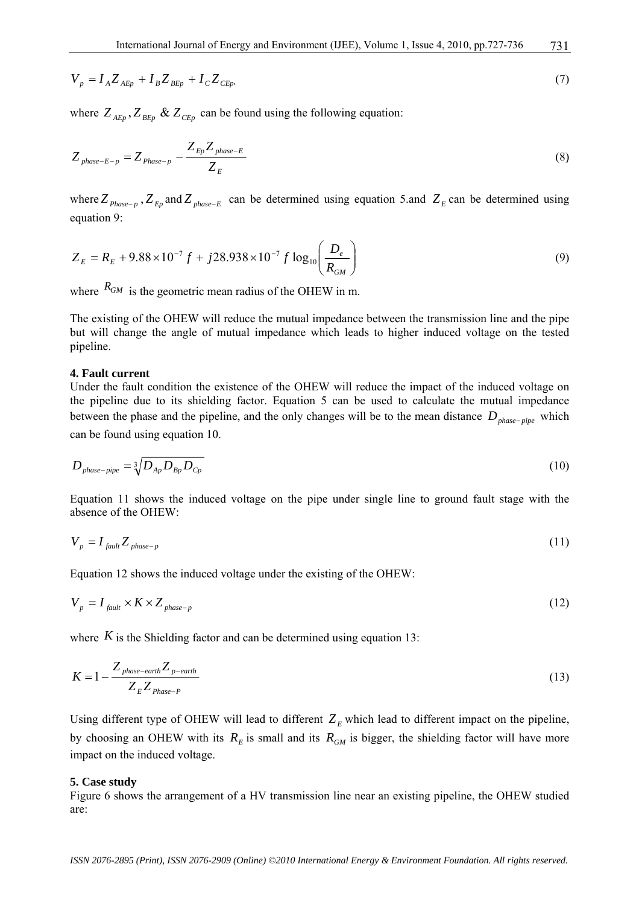$$
V_p = I_A Z_{A E p} + I_B Z_{B E p} + I_C Z_{C E p} \tag{7}
$$

where  $Z_{A_{E_p}}, Z_{B_{E_p}} \& Z_{C_{E_p}}$  can be found using the following equation:

$$
Z_{phase-E-p} = Z_{phase-p} - \frac{Z_{Ep}Z_{phase-E}}{Z_{E}}
$$
\n(8)

where  $Z_{phase-p}$ ,  $Z_{En}$  and  $Z_{phase-E}$  can be determined using equation 5.and  $Z_{E}$  can be determined using equation 9:

$$
Z_E = R_E + 9.88 \times 10^{-7} f + j28.938 \times 10^{-7} f \log_{10} \left( \frac{D_e}{R_{GM}} \right)
$$
 (9)

where  $R_{GM}$  is the geometric mean radius of the OHEW in m.

The existing of the OHEW will reduce the mutual impedance between the transmission line and the pipe but will change the angle of mutual impedance which leads to higher induced voltage on the tested pipeline.

#### **4. Fault current**

Under the fault condition the existence of the OHEW will reduce the impact of the induced voltage on the pipeline due to its shielding factor. Equation 5 can be used to calculate the mutual impedance between the phase and the pipeline, and the only changes will be to the mean distance *D*<sub>phase−pipe</sub> which can be found using equation 10.

$$
D_{phase-pipe} = \sqrt[3]{D_{Ap} D_{bp} D_{cp}} \tag{10}
$$

Equation 11 shows the induced voltage on the pipe under single line to ground fault stage with the absence of the OHEW:

$$
V_p = I_{\text{fault}} Z_{\text{phase}-p} \tag{11}
$$

Equation 12 shows the induced voltage under the existing of the OHEW:

$$
V_p = I_{\text{fault}} \times K \times Z_{\text{phase}-p} \tag{12}
$$

where  $K$  is the Shielding factor and can be determined using equation 13:

$$
K = 1 - \frac{Z_{phase-earth} Z_{p-earth}}{Z_{E} Z_{Phase-P}}
$$
\n(13)

Using different type of OHEW will lead to different  $Z_E$  which lead to different impact on the pipeline, by choosing an OHEW with its  $R<sub>E</sub>$  is small and its  $R<sub>GM</sub>$  is bigger, the shielding factor will have more impact on the induced voltage.

#### **5. Case study**

Figure 6 shows the arrangement of a HV transmission line near an existing pipeline, the OHEW studied are: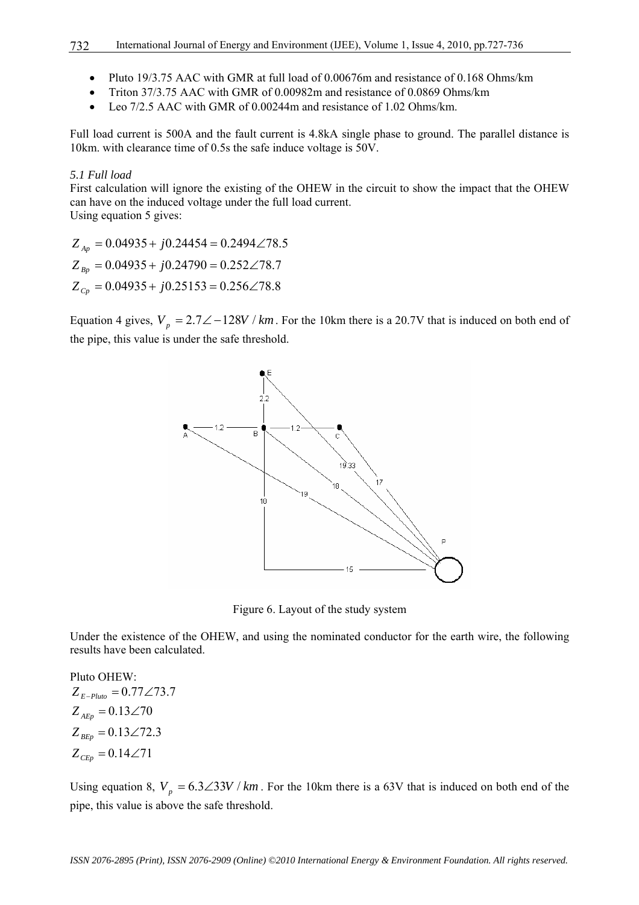- Pluto 19/3.75 AAC with GMR at full load of 0.00676m and resistance of 0.168 Ohms/km
- Triton 37/3.75 AAC with GMR of 0.00982m and resistance of 0.0869 Ohms/km
- Leo 7/2.5 AAC with GMR of 0.00244m and resistance of 1.02 Ohms/km.

Full load current is 500A and the fault current is 4.8kA single phase to ground. The parallel distance is 10km. with clearance time of 0.5s the safe induce voltage is 50V.

#### *5.1 Full load*

First calculation will ignore the existing of the OHEW in the circuit to show the impact that the OHEW can have on the induced voltage under the full load current. Using equation 5 gives:

 $Z_{C_p} = 0.04935 + j0.25153 = 0.256 \angle 78.8$  $Z_{Bp} = 0.04935 + j0.24790 = 0.252 \angle 78.7$  $Z_{Ap} = 0.04935 + j0.24454 = 0.2494 \angle 78.5$ 

Equation 4 gives,  $V_p = 2.7\angle -128V / km$ . For the 10km there is a 20.7V that is induced on both end of the pipe, this value is under the safe threshold.



Figure 6. Layout of the study system

Under the existence of the OHEW, and using the nominated conductor for the earth wire, the following results have been calculated.

Pluto OHEW:  $Z_{CEp} = 0.14 \angle 71$  $Z_{BEp} = 0.13 \angle 72.3$  $Z_{AEp} = 0.13 \angle 70$  $Z_{E-Pluto} = 0.77 \angle 73.7$ 

Using equation 8,  $V_p = 6.3\angle 33V / km$ . For the 10km there is a 63V that is induced on both end of the pipe, this value is above the safe threshold.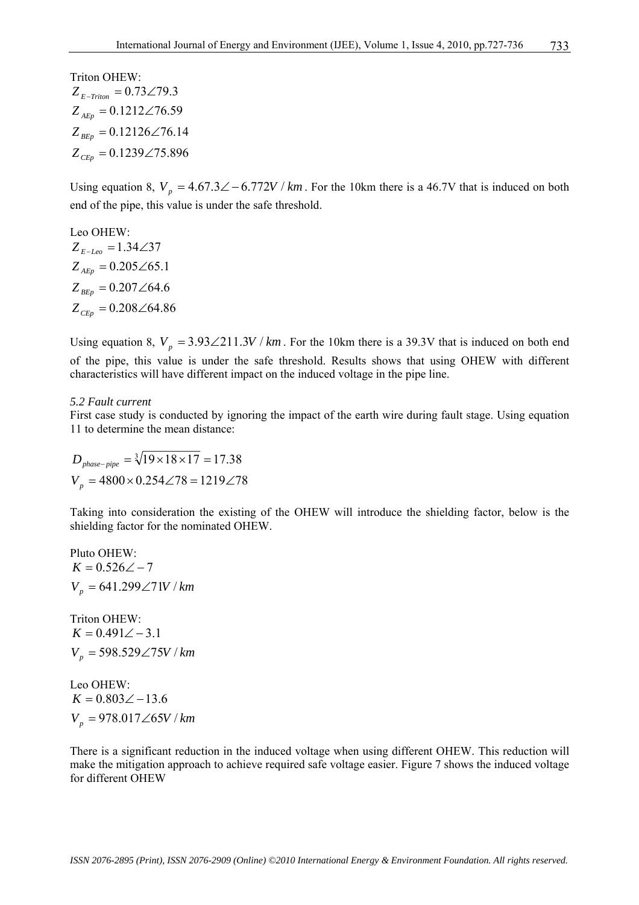## Triton OHEW:  $Z_{E-Triion} = 0.73\angle 79.3$

 $Z_{CEp} = 0.1239\angle 75.896$  $Z_{_{BEp}} = 0.12126 \angle 76.14$  $Z_{AEp} = 0.1212\angle 76.59$ 

Using equation 8,  $V_p = 4.67.3\angle -6.772V / km$ . For the 10km there is a 46.7V that is induced on both end of the pipe, this value is under the safe threshold.

Leo OHEW:  $Z_{CEp} = 0.208\angle 64.86$  $Z_{_{BEp}} = 0.207\angle 64.6$  $Z_{AEp} = 0.205\angle 65.1$  $Z_{E-Leo} = 1.34\angle 37$ 

Using equation 8,  $V_p = 3.93\angle 211.3V / km$ . For the 10km there is a 39.3V that is induced on both end of the pipe, this value is under the safe threshold. Results shows that using OHEW with different characteristics will have different impact on the induced voltage in the pipe line.

## *5.2 Fault current*

First case study is conducted by ignoring the impact of the earth wire during fault stage. Using equation 11 to determine the mean distance:

 $V_p = 4800 \times 0.254 \angle 78 = 1219 \angle 78$  $D_{phase - pipe} = \sqrt[3]{19 \times 18 \times 17} = 17.38$ 

Taking into consideration the existing of the OHEW will introduce the shielding factor, below is the shielding factor for the nominated OHEW.

Pluto OHEW:  $V_p = 641.299\angle 71V/km$  $K = 0.526 \angle -7$ 

Triton OHEW:  $V_p = 598.529 \angle 75V / km$  $K = 0.491 \angle -3.1$ 

Leo OHEW:  $V_p = 978.017\angle 65V/km$  $K = 0.803\angle -13.6$ 

There is a significant reduction in the induced voltage when using different OHEW. This reduction will make the mitigation approach to achieve required safe voltage easier. Figure 7 shows the induced voltage for different OHEW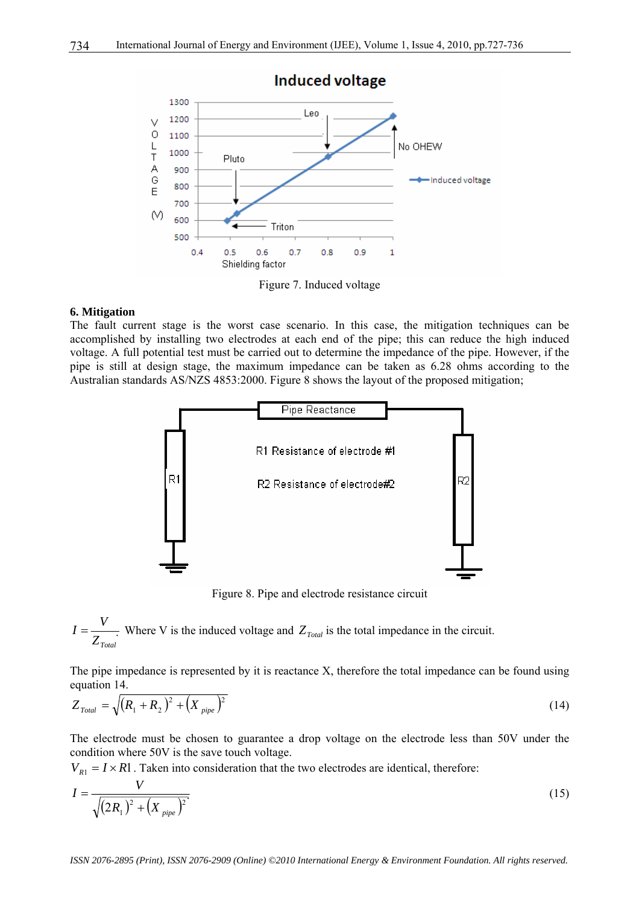

Figure 7. Induced voltage

#### **6. Mitigation**

The fault current stage is the worst case scenario. In this case, the mitigation techniques can be accomplished by installing two electrodes at each end of the pipe; this can reduce the high induced voltage. A full potential test must be carried out to determine the impedance of the pipe. However, if the pipe is still at design stage, the maximum impedance can be taken as 6.28 ohms according to the Australian standards AS/NZS 4853:2000. Figure 8 shows the layout of the proposed mitigation;



Figure 8. Pipe and electrode resistance circuit

$$
I = \frac{V}{Z_{\text{Total}}}
$$
 Where V is the induced voltage and  $Z_{\text{Total}}$  is the total impedance in the circuit.

The pipe impedance is represented by it is reactance X, therefore the total impedance can be found using equation 14.

$$
Z_{\text{Total}} = \sqrt{(R_1 + R_2)^2 + (X_{\text{pipe}})^2}
$$
 (14)

The electrode must be chosen to guarantee a drop voltage on the electrode less than 50V under the condition where 50V is the save touch voltage.

 $V_{R1} = I \times R1$ . Taken into consideration that the two electrodes are identical, therefore:

$$
I = \frac{V}{\sqrt{(2R_1)^2 + (X_{pipe})^2}}
$$
(15)

*ISSN 2076-2895 (Print), ISSN 2076-2909 (Online) ©2010 International Energy & Environment Foundation. All rights reserved.*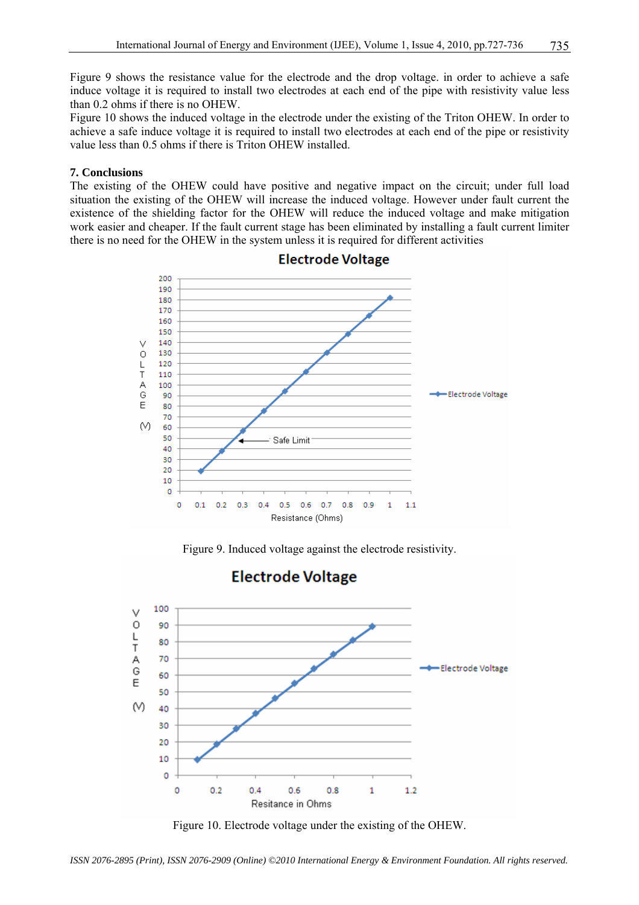Figure 9 shows the resistance value for the electrode and the drop voltage. in order to achieve a safe induce voltage it is required to install two electrodes at each end of the pipe with resistivity value less than 0.2 ohms if there is no OHEW.

Figure 10 shows the induced voltage in the electrode under the existing of the Triton OHEW. In order to achieve a safe induce voltage it is required to install two electrodes at each end of the pipe or resistivity value less than 0.5 ohms if there is Triton OHEW installed.

#### **7. Conclusions**

The existing of the OHEW could have positive and negative impact on the circuit; under full load situation the existing of the OHEW will increase the induced voltage. However under fault current the existence of the shielding factor for the OHEW will reduce the induced voltage and make mitigation work easier and cheaper. If the fault current stage has been eliminated by installing a fault current limiter there is no need for the OHEW in the system unless it is required for different activities



## **Electrode Voltage**

Figure 9. Induced voltage against the electrode resistivity.